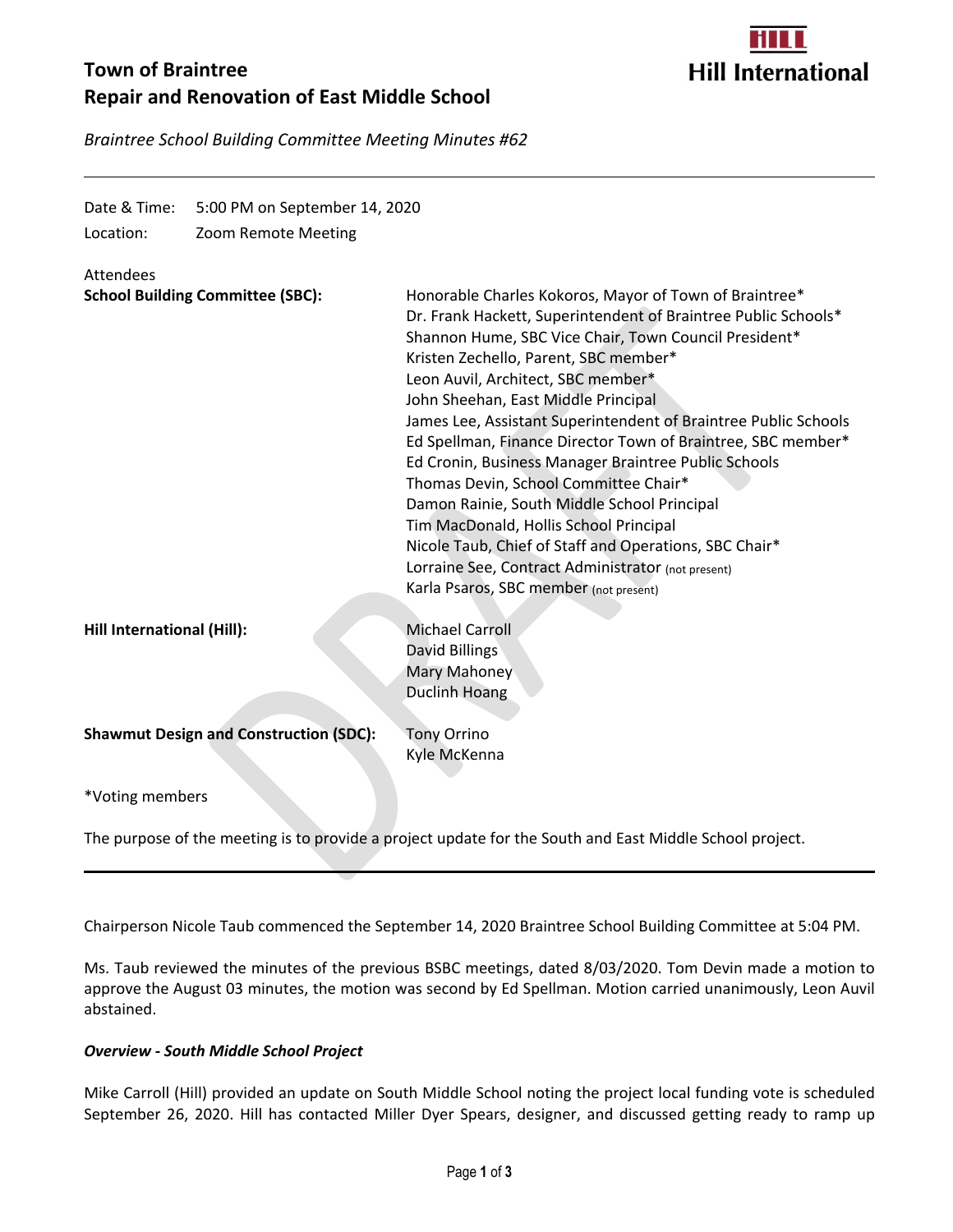# **Town of Braintree Repair and Renovation of East Middle School**



*Braintree School Building Committee Meeting Minutes #62*

| Date & Time:<br>Location:                                                                               | 5:00 PM on September 14, 2020<br>Zoom Remote Meeting |                                                                                                                                                                                                                                                                                                                                                                                                                                                                                                                                                                                                                                                                                                                                                                                                |
|---------------------------------------------------------------------------------------------------------|------------------------------------------------------|------------------------------------------------------------------------------------------------------------------------------------------------------------------------------------------------------------------------------------------------------------------------------------------------------------------------------------------------------------------------------------------------------------------------------------------------------------------------------------------------------------------------------------------------------------------------------------------------------------------------------------------------------------------------------------------------------------------------------------------------------------------------------------------------|
| Attendees                                                                                               | <b>School Building Committee (SBC):</b>              | Honorable Charles Kokoros, Mayor of Town of Braintree*<br>Dr. Frank Hackett, Superintendent of Braintree Public Schools*<br>Shannon Hume, SBC Vice Chair, Town Council President*<br>Kristen Zechello, Parent, SBC member*<br>Leon Auvil, Architect, SBC member*<br>John Sheehan, East Middle Principal<br>James Lee, Assistant Superintendent of Braintree Public Schools<br>Ed Spellman, Finance Director Town of Braintree, SBC member*<br>Ed Cronin, Business Manager Braintree Public Schools<br>Thomas Devin, School Committee Chair*<br>Damon Rainie, South Middle School Principal<br>Tim MacDonald, Hollis School Principal<br>Nicole Taub, Chief of Staff and Operations, SBC Chair*<br>Lorraine See, Contract Administrator (not present)<br>Karla Psaros, SBC member (not present) |
| Hill International (Hill):                                                                              |                                                      | <b>Michael Carroll</b><br>David Billings<br>Mary Mahoney<br><b>Duclinh Hoang</b>                                                                                                                                                                                                                                                                                                                                                                                                                                                                                                                                                                                                                                                                                                               |
|                                                                                                         | <b>Shawmut Design and Construction (SDC):</b>        | <b>Tony Orrino</b><br>Kyle McKenna                                                                                                                                                                                                                                                                                                                                                                                                                                                                                                                                                                                                                                                                                                                                                             |
| *Voting members                                                                                         |                                                      |                                                                                                                                                                                                                                                                                                                                                                                                                                                                                                                                                                                                                                                                                                                                                                                                |
| The purpose of the meeting is to provide a project update for the South and East Middle School project. |                                                      |                                                                                                                                                                                                                                                                                                                                                                                                                                                                                                                                                                                                                                                                                                                                                                                                |

Chairperson Nicole Taub commenced the September 14, 2020 Braintree School Building Committee at 5:04 PM.

Ms. Taub reviewed the minutes of the previous BSBC meetings, dated 8/03/2020. Tom Devin made a motion to approve the August 03 minutes, the motion was second by Ed Spellman. Motion carried unanimously, Leon Auvil abstained.

## *Overview - South Middle School Project*

Mike Carroll (Hill) provided an update on South Middle School noting the project local funding vote is scheduled September 26, 2020. Hill has contacted Miller Dyer Spears, designer, and discussed getting ready to ramp up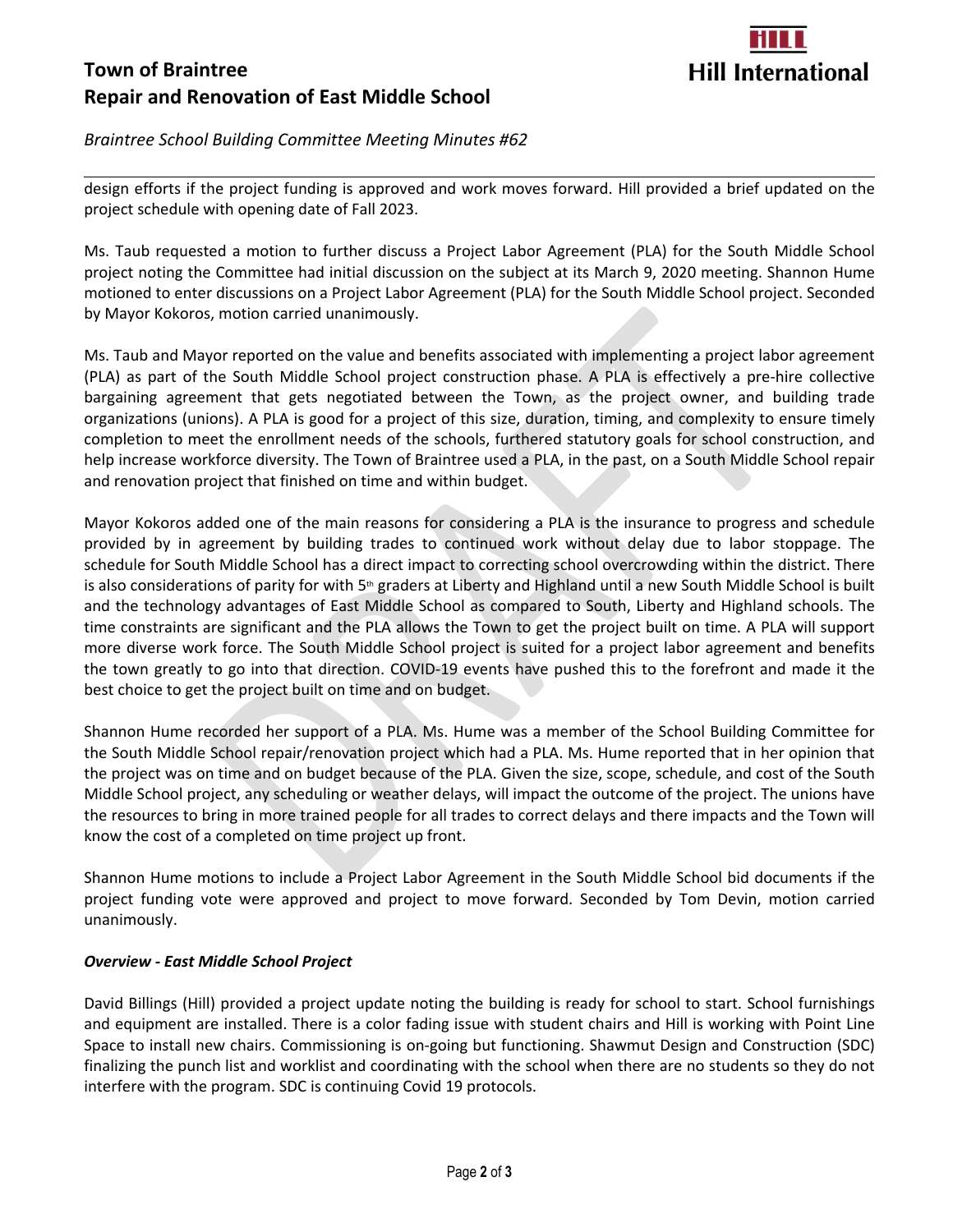# **Town of Braintree Repair and Renovation of East Middle School**



## *Braintree School Building Committee Meeting Minutes #62*

design efforts if the project funding is approved and work moves forward. Hill provided a brief updated on the project schedule with opening date of Fall 2023.

Ms. Taub requested a motion to further discuss a Project Labor Agreement (PLA) for the South Middle School project noting the Committee had initial discussion on the subject at its March 9, 2020 meeting. Shannon Hume motioned to enter discussions on a Project Labor Agreement (PLA) for the South Middle School project. Seconded by Mayor Kokoros, motion carried unanimously.

Ms. Taub and Mayor reported on the value and benefits associated with implementing a project labor agreement (PLA) as part of the South Middle School project construction phase. A PLA is effectively a pre-hire collective bargaining agreement that gets negotiated between the Town, as the project owner, and building trade organizations (unions). A PLA is good for a project of this size, duration, timing, and complexity to ensure timely completion to meet the enrollment needs of the schools, furthered statutory goals for school construction, and help increase workforce diversity. The Town of Braintree used a PLA, in the past, on a South Middle School repair and renovation project that finished on time and within budget.

s, motion carried unanimously.<br>Syor reported on the value and benefits associated with implementing a project labc<br>the South Middle School project construction phase. A PLA is effectively a pre-h<br>ment that gets negotiated Mayor Kokoros added one of the main reasons for considering a PLA is the insurance to progress and schedule provided by in agreement by building trades to continued work without delay due to labor stoppage. The schedule for South Middle School has a direct impact to correcting school overcrowding within the district. There is also considerations of parity for with  $5<sup>th</sup>$  graders at Liberty and Highland until a new South Middle School is built and the technology advantages of East Middle School as compared to South, Liberty and Highland schools. The time constraints are significant and the PLA allows the Town to get the project built on time. A PLA will support more diverse work force. The South Middle School project is suited for a project labor agreement and benefits the town greatly to go into that direction. COVID-19 events have pushed this to the forefront and made it the best choice to get the project built on time and on budget.

Shannon Hume recorded her support of a PLA. Ms. Hume was a member of the School Building Committee for the South Middle School repair/renovation project which had a PLA. Ms. Hume reported that in her opinion that the project was on time and on budget because of the PLA. Given the size, scope, schedule, and cost of the South Middle School project, any scheduling or weather delays, will impact the outcome of the project. The unions have the resources to bring in more trained people for all trades to correct delays and there impacts and the Town will know the cost of a completed on time project up front.

Shannon Hume motions to include a Project Labor Agreement in the South Middle School bid documents if the project funding vote were approved and project to move forward. Seconded by Tom Devin, motion carried unanimously.

## *Overview - East Middle School Project*

David Billings (Hill) provided a project update noting the building is ready for school to start. School furnishings and equipment are installed. There is a color fading issue with student chairs and Hill is working with Point Line Space to install new chairs. Commissioning is on-going but functioning. Shawmut Design and Construction (SDC) finalizing the punch list and worklist and coordinating with the school when there are no students so they do not interfere with the program. SDC is continuing Covid 19 protocols.